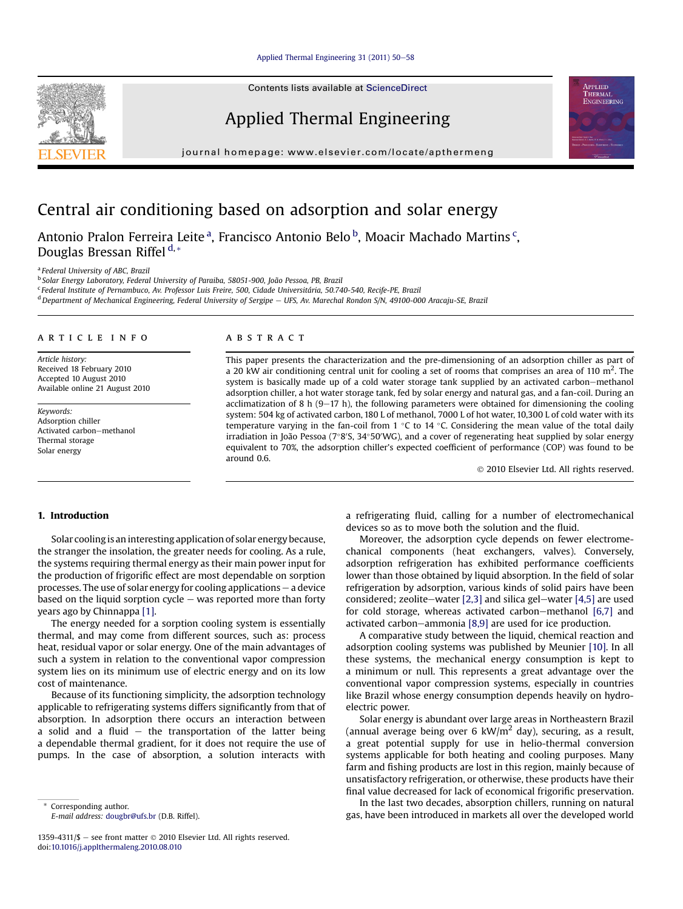### [Applied Thermal Engineering 31 \(2011\) 50](http://dx.doi.org/10.1016/j.applthermaleng.2010.08.010)-[58](http://dx.doi.org/10.1016/j.applthermaleng.2010.08.010)

Contents lists available at ScienceDirect

# Applied Thermal Engineering

journal homepage: [www.elsevier.com/locate/apthermeng](http://www.elsevier.com/locate/apthermeng)

# Central air conditioning based on adsorption and solar energy

Antonio Pralon Ferreira Leite<sup>a</sup>, Francisco Antonio Belo<sup>b</sup>, Moacir Machado Martins<sup>c</sup>, Douglas Bressan Riffel<sup>d,\*</sup>

<sup>a</sup> Federal University of ABC, Brazil

<sup>b</sup> Solar Energy Laboratory, Federal University of Paraiba, 58051-900, João Pessoa, PB, Brazil

<sup>c</sup> Federal Institute of Pernambuco, Av. Professor Luis Freire, 500, Cidade Universitária, 50.740-540, Recife-PE, Brazil

<sup>d</sup> Department of Mechanical Engineering, Federal University of Sergipe - UFS, Av. Marechal Rondon S/N, 49100-000 Aracaju-SE, Brazil

### article info

Article history: Received 18 February 2010 Accepted 10 August 2010 Available online 21 August 2010

Keywords: Adsorption chiller Activated carbon-methanol Thermal storage Solar energy

# **ABSTRACT**

This paper presents the characterization and the pre-dimensioning of an adsorption chiller as part of a 20 kW air conditioning central unit for cooling a set of rooms that comprises an area of 110  $m^2$ . The system is basically made up of a cold water storage tank supplied by an activated carbon–methanol adsorption chiller, a hot water storage tank, fed by solar energy and natural gas, and a fan-coil. During an acclimatization of 8 h  $(9-17 h)$ , the following parameters were obtained for dimensioning the cooling system: 504 kg of activated carbon, 180 L of methanol, 7000 L of hot water, 10,300 L of cold water with its temperature varying in the fan-coil from 1  $\degree$ C to 14  $\degree$ C. Considering the mean value of the total daily irradiation in João Pessoa (7°8'S, 34°50'WG), and a cover of regenerating heat supplied by solar energy equivalent to 70%, the adsorption chiller's expected coefficient of performance (COP) was found to be around 0.6.

2010 Elsevier Ltd. All rights reserved.

APPLIED **THERMA** ENGINEERING

# 1. Introduction

Solar cooling is an interesting application of solar energy because, the stranger the insolation, the greater needs for cooling. As a rule, the systems requiring thermal energy as their main power input for the production of frigorific effect are most dependable on sorption processes. The use of solar energy for cooling applications  $-$  a device based on the liquid sorption cycle  $-$  was reported more than forty years ago by Chinnappa [1].

The energy needed for a sorption cooling system is essentially thermal, and may come from different sources, such as: process heat, residual vapor or solar energy. One of the main advantages of such a system in relation to the conventional vapor compression system lies on its minimum use of electric energy and on its low cost of maintenance.

Because of its functioning simplicity, the adsorption technology applicable to refrigerating systems differs significantly from that of absorption. In adsorption there occurs an interaction between a solid and a fluid  $-$  the transportation of the latter being a dependable thermal gradient, for it does not require the use of pumps. In the case of absorption, a solution interacts with

Corresponding author. E-mail address: [dougbr@ufs.br](mailto:dougbr@ufs.br) (D.B. Riffel).

1359-4311/\$ - see front matter  $\odot$  2010 Elsevier Ltd. All rights reserved. doi:[10.1016/j.applthermaleng.2010.08.010](http://dx.doi.org/10.1016/j.applthermaleng.2010.08.010)

a refrigerating fluid, calling for a number of electromechanical devices so as to move both the solution and the fluid.

Moreover, the adsorption cycle depends on fewer electromechanical components (heat exchangers, valves). Conversely, adsorption refrigeration has exhibited performance coefficients lower than those obtained by liquid absorption. In the field of solar refrigeration by adsorption, various kinds of solid pairs have been considered; zeolite-water  $[2,3]$  and silica gel-water  $[4,5]$  are used for cold storage, whereas activated carbon-methanol  $[6,7]$  and activated carbon-ammonia  $[8,9]$  are used for ice production.

A comparative study between the liquid, chemical reaction and adsorption cooling systems was published by Meunier [10]. In all these systems, the mechanical energy consumption is kept to a minimum or null. This represents a great advantage over the conventional vapor compression systems, especially in countries like Brazil whose energy consumption depends heavily on hydroelectric power.

Solar energy is abundant over large areas in Northeastern Brazil (annual average being over 6 kW/ $m^2$  day), securing, as a result, a great potential supply for use in helio-thermal conversion systems applicable for both heating and cooling purposes. Many farm and fishing products are lost in this region, mainly because of unsatisfactory refrigeration, or otherwise, these products have their final value decreased for lack of economical frigorific preservation.

In the last two decades, absorption chillers, running on natural gas, have been introduced in markets all over the developed world

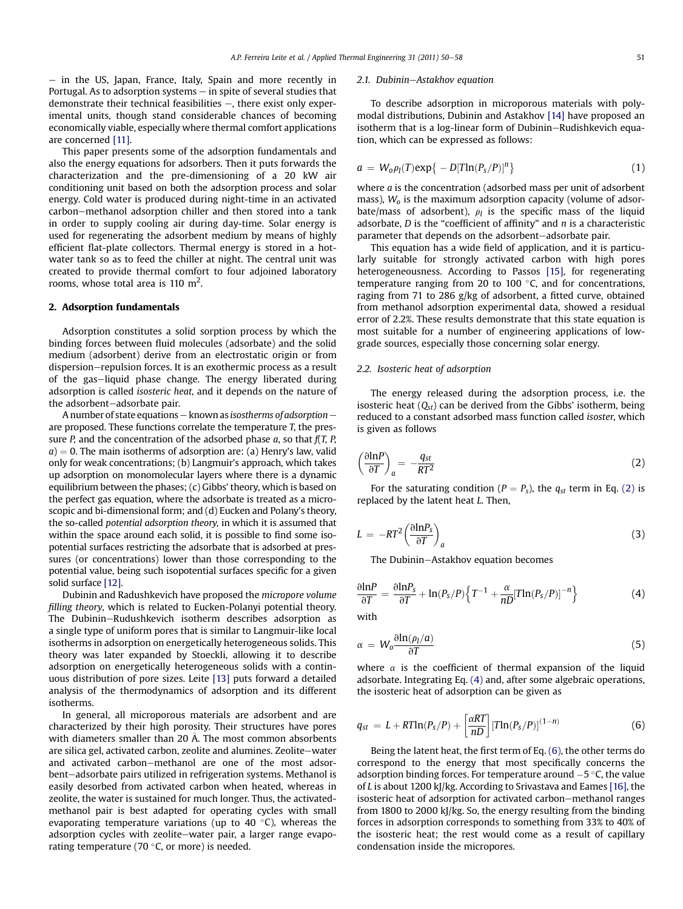$-$  in the US, Japan, France, Italy, Spain and more recently in Portugal. As to adsorption systems  $-$  in spite of several studies that demonstrate their technical feasibilities  $-$ , there exist only experimental units, though stand considerable chances of becoming economically viable, especially where thermal comfort applications are concerned [11].

This paper presents some of the adsorption fundamentals and also the energy equations for adsorbers. Then it puts forwards the characterization and the pre-dimensioning of a 20 kW air conditioning unit based on both the adsorption process and solar energy. Cold water is produced during night-time in an activated carbon-methanol adsorption chiller and then stored into a tank in order to supply cooling air during day-time. Solar energy is used for regenerating the adsorbent medium by means of highly efficient flat-plate collectors. Thermal energy is stored in a hotwater tank so as to feed the chiller at night. The central unit was created to provide thermal comfort to four adjoined laboratory rooms, whose total area is 110  $m^2$ .

## 2. Adsorption fundamentals

Adsorption constitutes a solid sorption process by which the binding forces between fluid molecules (adsorbate) and the solid medium (adsorbent) derive from an electrostatic origin or from dispersion-repulsion forces. It is an exothermic process as a result of the gas-liquid phase change. The energy liberated during adsorption is called isosteric heat, and it depends on the nature of the adsorbent-adsorbate pair.

A number of state equations  $-$  known as isostherms of adsorption  $$ are proposed. These functions correlate the temperature T, the pressure P, and the concentration of the adsorbed phase  $a$ , so that  $f(T, P, P)$  $a$ ) = 0. The main isotherms of adsorption are: (a) Henry's law, valid only for weak concentrations; (b) Langmuir's approach, which takes up adsorption on monomolecular layers where there is a dynamic equilibrium between the phases; (c) Gibbs' theory, which is based on the perfect gas equation, where the adsorbate is treated as a microscopic and bi-dimensional form; and (d) Eucken and Polany's theory, the so-called potential adsorption theory, in which it is assumed that within the space around each solid, it is possible to find some isopotential surfaces restricting the adsorbate that is adsorbed at pressures (or concentrations) lower than those corresponding to the potential value, being such isopotential surfaces specific for a given solid surface [12].

Dubinin and Radushkevich have proposed the micropore volume filling theory, which is related to Eucken-Polanyi potential theory. The Dubinin-Rudushkevich isotherm describes adsorption as a single type of uniform pores that is similar to Langmuir-like local isotherms in adsorption on energetically heterogeneous solids. This theory was later expanded by Stoeckli, allowing it to describe adsorption on energetically heterogeneous solids with a continuous distribution of pore sizes. Leite [13] puts forward a detailed analysis of the thermodynamics of adsorption and its different isotherms.

In general, all microporous materials are adsorbent and are characterized by their high porosity. Their structures have pores with diameters smaller than 20 Å. The most common absorbents are silica gel, activated carbon, zeolite and alumines. Zeolite-water and activated carbon-methanol are one of the most adsorbent-adsorbate pairs utilized in refrigeration systems. Methanol is easily desorbed from activated carbon when heated, whereas in zeolite, the water is sustained for much longer. Thus, the activatedmethanol pair is best adapted for operating cycles with small evaporating temperature variations (up to 40 $\degree$ C), whereas the adsorption cycles with zeolite-water pair, a larger range evaporating temperature (70 $\degree$ C, or more) is needed.

#### 2.1. Dubinin-Astakhov equation

To describe adsorption in microporous materials with polymodal distributions, Dubinin and Astakhov [14] have proposed an isotherm that is a log-linear form of Dubinin-Rudishkevich equation, which can be expressed as follows:

$$
a = W_o \rho_l(T) \exp\{-D[T \ln(P_s/P)]^n\}
$$
\n(1)

where a is the concentration (adsorbed mass per unit of adsorbent mass),  $W_0$  is the maximum adsorption capacity (volume of adsorbate/mass of adsorbent),  $\rho_l$  is the specific mass of the liquid adsorbate,  $D$  is the "coefficient of affinity" and  $n$  is a characteristic parameter that depends on the adsorbent-adsorbate pair.

This equation has a wide field of application, and it is particularly suitable for strongly activated carbon with high pores heterogeneousness. According to Passos [15], for regenerating temperature ranging from 20 to 100 $\degree$ C, and for concentrations, raging from 71 to 286 g/kg of adsorbent, a fitted curve, obtained from methanol adsorption experimental data, showed a residual error of 2.2%. These results demonstrate that this state equation is most suitable for a number of engineering applications of lowgrade sources, especially those concerning solar energy.

### 2.2. Isosteric heat of adsorption

The energy released during the adsorption process, i.e. the isosteric heat  $(Q_{st})$  can be derived from the Gibbs' isotherm, being reduced to a constant adsorbed mass function called isoster, which is given as follows

$$
\left(\frac{\partial \ln P}{\partial T}\right)_a = -\frac{q_{st}}{RT^2} \tag{2}
$$

For the saturating condition ( $P = P_s$ ), the  $q_{st}$  term in Eq. (2) is replaced by the latent heat L. Then,

$$
L = -RT^2 \left(\frac{\partial \ln P_s}{\partial T}\right)_a \tag{3}
$$

The Dubinin-Astakhov equation becomes

$$
\frac{\partial \ln P}{\partial T} = \frac{\partial \ln P_s}{\partial T} + \ln(P_s/P) \left\{ T^{-1} + \frac{\alpha}{nD} [T \ln(P_s/P)]^{-n} \right\} \tag{4}
$$

with

$$
\alpha = W_0 \frac{\partial \ln(\rho_I/a)}{\partial T} \tag{5}
$$

where  $\alpha$  is the coefficient of thermal expansion of the liquid adsorbate. Integrating Eq. (4) and, after some algebraic operations, the isosteric heat of adsorption can be given as

$$
q_{st} = L + RT \ln(P_s/P) + \left[\frac{\alpha RT}{nD}\right] [T \ln(P_s/P)]^{(1-n)} \tag{6}
$$

Being the latent heat, the first term of Eq. (6), the other terms do correspond to the energy that most specifically concerns the adsorption binding forces. For temperature around  $-5$  °C, the value of L is about 1200 kJ/kg. According to Srivastava and Eames [16], the isosteric heat of adsorption for activated carbon-methanol ranges from 1800 to 2000 kJ/kg. So, the energy resulting from the binding forces in adsorption corresponds to something from 33% to 40% of the isosteric heat; the rest would come as a result of capillary condensation inside the micropores.